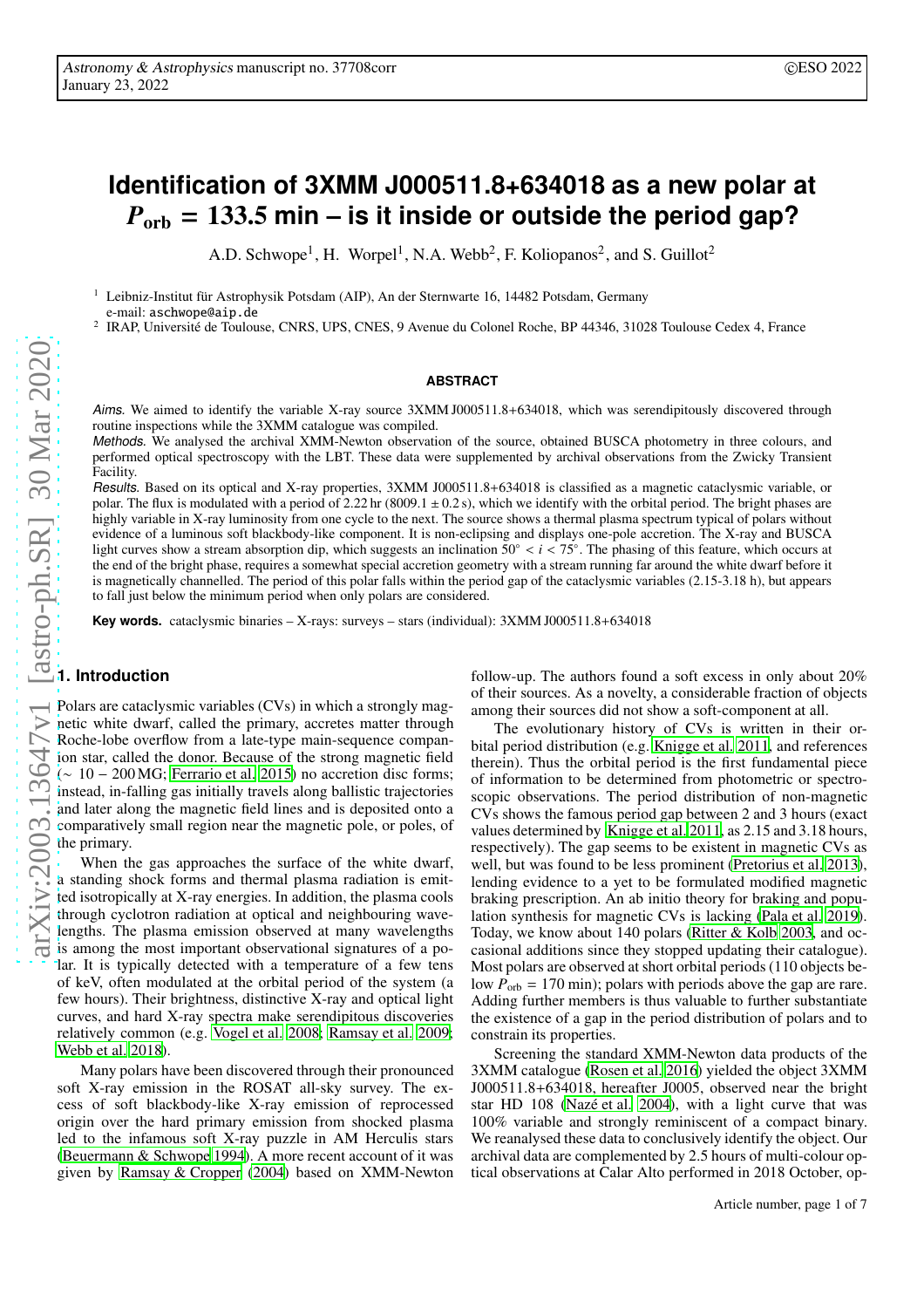# **Identification of 3XMM J000511.8+634018 as a new polar at** *P*orb = 133.5 **min – is it inside or outside the period gap?**

A.D. Schwope<sup>1</sup>, H. Worpel<sup>1</sup>, N.A. Webb<sup>2</sup>, F. Koliopanos<sup>2</sup>, and S. Guillot<sup>2</sup>

<sup>1</sup> Leibniz-Institut für Astrophysik Potsdam (AIP), An der Sternwarte 16, 14482 Potsdam, Germany e-mail: aschwope@aip.de

2 <sup>2</sup> IRAP, Université de Toulouse, CNRS, UPS, CNES, 9 Avenue du Colonel Roche, BP 44346, 31028 Toulouse Cedex 4, France

#### **ABSTRACT**

Aims. We aimed to identify the variable X-ray source 3XMM J000511.8+634018, which was serendipitously discovered through routine inspections while the 3XMM catalogue was compiled.

Methods. We analysed the archival XMM-Newton observation of the source, obtained BUSCA photometry in three colours, and performed optical spectroscopy with the LBT. These data were supplemented by archival observations from the Zwicky Transient Facility.

Results. Based on its optical and X-ray properties, 3XMM J000511.8+634018 is classified as a magnetic cataclysmic variable, or polar. The flux is modulated with a period of  $2.22 \text{ hr}$  (8009.1  $\pm$  0.2 s), which we identify with the orbital period. The bright phases are highly variable in X-ray luminosity from one cycle to the next. The source shows a thermal plasma spectrum typical of polars without evidence of a luminous soft blackbody-like component. It is non-eclipsing and displays one-pole accretion. The X-ray and BUSCA light curves show a stream absorption dip, which suggests an inclination 50◦ < *i* < 75◦ . The phasing of this feature, which occurs at the end of the bright phase, requires a somewhat special accretion geometry with a stream running far around the white dwarf before it is magnetically channelled. The period of this polar falls within the period gap of the cataclysmic variables (2.15-3.18 h), but appears to fall just below the minimum period when only polars are considered.

**Key words.** cataclysmic binaries – X-rays: surveys – stars (individual): 3XMM J000511.8+634018

## **1. Introduction**

Polars are cataclysmic variables (CVs) in which a strongly magnetic white dwarf, called the primary, accretes matter through Roche-lobe overflow from a late-type main-sequence companion star, called the donor. Because of the strong magnetic field  $($  ~ 10 – 200 MG; [Ferrario et al. 2015\)](#page-6-0) no accretion disc forms; instead, in-falling gas initially travels along ballistic trajectories and later along the magnetic field lines and is deposited onto a comparatively small region near the magnetic pole, or poles, of the primary.

When the gas approaches the surface of the white dwarf, a standing shock forms and thermal plasma radiation is emitted isotropically at X-ray energies. In addition, the plasma cools through cyclotron radiation at optical and neighbouring wavelengths. The plasma emission observed at many wavelengths is among the most important observational signatures of a polar. It is typically detected with a temperature of a few tens of keV, often modulated at the orbital period of the system (a few hours). Their brightness, distinctive X-ray and optical light curves, and hard X-ray spectra make serendipitous discoveries relatively common (e.g. [Vogel et al. 2008;](#page-6-1) [Ramsay et al. 2009](#page-6-2); [Webb et al. 2018](#page-6-3)).

Many polars have been discovered through their pronounced soft X-ray emission in the ROSAT all-sky survey. The excess of soft blackbody-like X-ray emission of reprocessed origin over the hard primary emission from shocked plasma led to the infamous soft X-ray puzzle in AM Herculis stars [\(Beuermann & Schwope 1994\)](#page-6-4). A more recent account of it was given by [Ramsay & Cropper \(2004\)](#page-6-5) based on XMM-Newton follow-up. The authors found a soft excess in only about 20% of their sources. As a novelty, a considerable fraction of objects among their sources did not show a soft-component at all.

The evolutionary history of CVs is written in their orbital period distribution (e.g. [Knigge et al. 2011](#page-6-6), and references therein). Thus the orbital period is the first fundamental piece of information to be determined from photometric or spectroscopic observations. The period distribution of non-magnetic CVs shows the famous period gap between 2 and 3 hours (exact values determined by [Knigge et al. 2011](#page-6-6), as 2.15 and 3.18 hours, respectively). The gap seems to be existent in magnetic CVs as well, but was found to be less prominent [\(Pretorius et al. 2013\)](#page-6-7), lending evidence to a yet to be formulated modified magnetic braking prescription. An ab initio theory for braking and population synthesis for magnetic CVs is lacking [\(Pala et al. 2019\)](#page-6-8). Today, we know about 140 polars [\(Ritter & Kolb 2003](#page-6-9), and occasional additions since they stopped updating their catalogue). Most polars are observed at short orbital periods (110 objects below  $P_{\text{orb}} = 170 \text{ min}$ ; polars with periods above the gap are rare. Adding further members is thus valuable to further substantiate the existence of a gap in the period distribution of polars and to constrain its properties.

Screening the standard XMM-Newton data products of the 3XMM catalogue [\(Rosen et al. 2016](#page-6-10)) yielded the object 3XMM J000511.8+634018, hereafter J0005, observed near the bright star HD 108 [\(Nazé et al. 2004\)](#page-6-11), with a light curve that was 100% variable and strongly reminiscent of a compact binary. We reanalysed these data to conclusively identify the object. Our archival data are complemented by 2.5 hours of multi-colour optical observations at Calar Alto performed in 2018 October, op-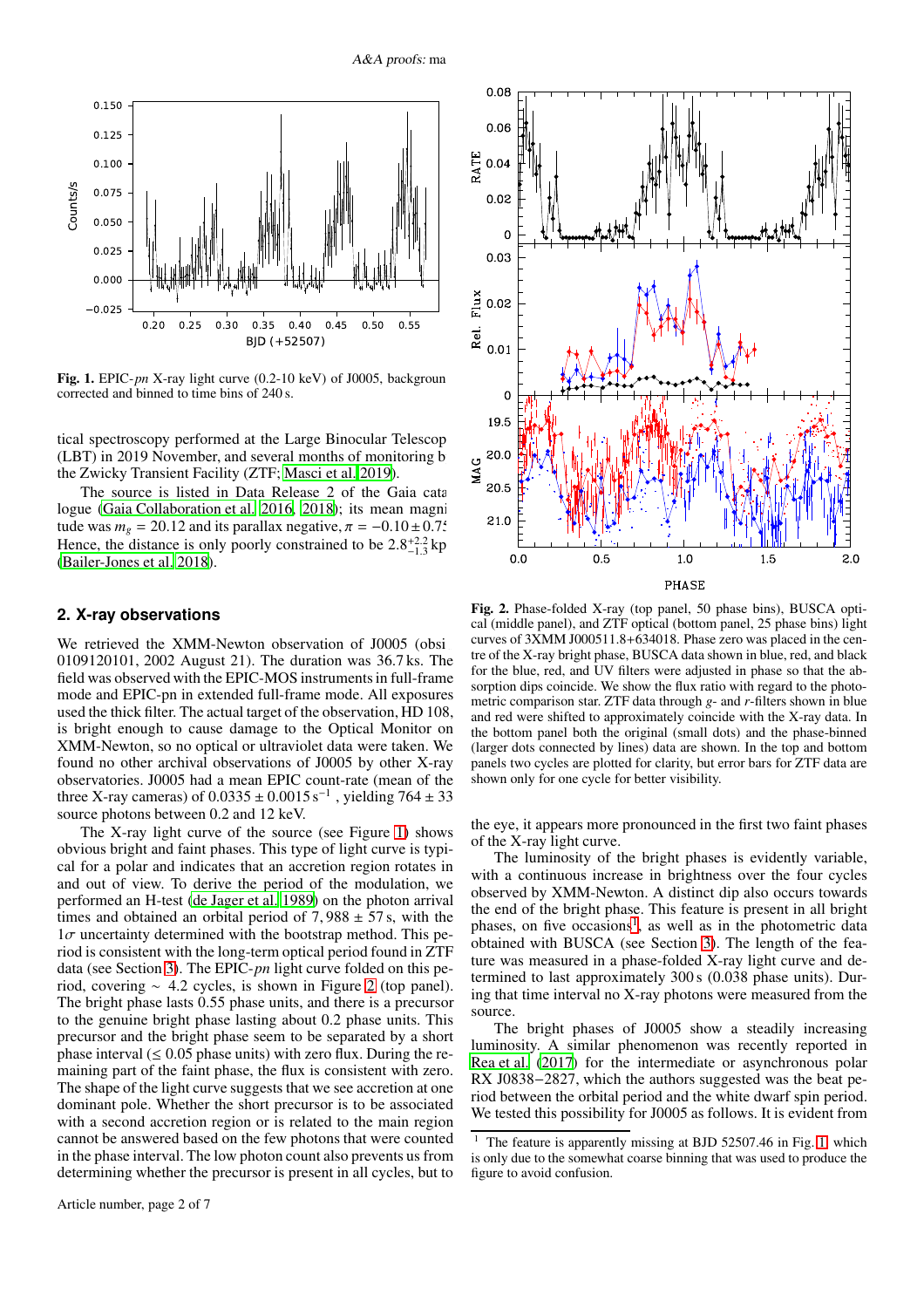

<span id="page-1-0"></span>Fig. 1. EPIC-*pn* X-ray light curve (0.2-10 keV) of J0005, backgroun corrected and binned to time bins of 240 s.

tical spectroscopy performed at the Large Binocular Telescop (LBT) in 2019 November, and several months of monitoring b the Zwicky Transient Facility (ZTF; [Masci et al. 2019\)](#page-6-12).

The source is listed in Data Release 2 of the Gaia catalogue [\(Gaia Collaboration et al. 2016](#page-6-13), [2018\)](#page-6-14); its mean magnitude was  $m<sub>g</sub> = 20.12$  and its parallax negative,  $\pi = -0.10 \pm 0.75$ . Hence, the distance is only poorly constrained to be  $2.8^{+2.2}_{-1.3}$  kp [\(Bailer-Jones et al. 2018](#page-6-15)).

#### **2. X-ray observations**

We retrieved the XMM-Newton observation of J0005 (obsi-0109120101, 2002 August 21). The duration was 36.7 ks. The field was observed with the EPIC-MOS instruments in full-frame mode and EPIC-pn in extended full-frame mode. All exposures used the thick filter. The actual target of the observation, HD 108, is bright enough to cause damage to the Optical Monitor on XMM-Newton, so no optical or ultraviolet data were taken. We found no other archival observations of J0005 by other X-ray observatories. J0005 had a mean EPIC count-rate (mean of the three X-ray cameras) of  $0.0335 \pm 0.0015 \,\mathrm{s}^{-1}$ , yielding  $764 \pm 33$ source photons between 0.2 and 12 keV.

The X-ray light curve of the source (see Figure [1\)](#page-1-0) shows obvious bright and faint phases. This type of light curve is typical for a polar and indicates that an accretion region rotates in and out of view. To derive the period of the modulation, we performed an H-test [\(de Jager et al. 1989\)](#page-6-16) on the photon arrival times and obtained an orbital period of  $7,988 \pm 57$  s, with the  $1\sigma$  uncertainty determined with the bootstrap method. This period is consistent with the long-term optical period found in ZTF data (see Section [3\)](#page-2-0). The EPIC-*pn* light curve folded on this period, covering ∼ 4.2 cycles, is shown in Figure [2](#page-1-1) (top panel). The bright phase lasts 0.55 phase units, and there is a precursor to the genuine bright phase lasting about 0.2 phase units. This precursor and the bright phase seem to be separated by a short phase interval  $(\leq 0.05$  phase units) with zero flux. During the remaining part of the faint phase, the flux is consistent with zero. The shape of the light curve suggests that we see accretion at one dominant pole. Whether the short precursor is to be associated with a second accretion region or is related to the main region cannot be answered based on the few photons that were counted in the phase interval. The low photon count also prevents us from determining whether the precursor is present in all cycles, but to



<span id="page-1-1"></span>Fig. 2. Phase-folded X-ray (top panel, 50 phase bins), BUSCA optical (middle panel), and ZTF optical (bottom panel, 25 phase bins) light curves of 3XMM J000511.8+634018. Phase zero was placed in the centre of the X-ray bright phase, BUSCA data shown in blue, red, and black for the blue, red, and UV filters were adjusted in phase so that the absorption dips coincide. We show the flux ratio with regard to the photometric comparison star. ZTF data through *g*- and *r*-filters shown in blue and red were shifted to approximately coincide with the X-ray data. In the bottom panel both the original (small dots) and the phase-binned (larger dots connected by lines) data are shown. In the top and bottom panels two cycles are plotted for clarity, but error bars for ZTF data are shown only for one cycle for better visibility.

the eye, it appears more pronounced in the first two faint phases of the X-ray light curve.

The luminosity of the bright phases is evidently variable, with a continuous increase in brightness over the four cycles observed by XMM-Newton. A distinct dip also occurs towards the end of the bright phase. This feature is present in all bright phases, on five occasions<sup>[1](#page-1-2)</sup>, as well as in the photometric data obtained with BUSCA (see Section [3\)](#page-2-0). The length of the feature was measured in a phase-folded X-ray light curve and determined to last approximately 300 s (0.038 phase units). During that time interval no X-ray photons were measured from the source.

The bright phases of J0005 show a steadily increasing luminosity. A similar phenomenon was recently reported in [Rea et al.](#page-6-17) [\(2017\)](#page-6-17) for the intermediate or asynchronous polar RX J0838−2827, which the authors suggested was the beat period between the orbital period and the white dwarf spin period. We tested this possibility for J0005 as follows. It is evident from

<span id="page-1-2"></span>The feature is apparently missing at BJD 52507.46 in Fig. [1,](#page-1-0) which is only due to the somewhat coarse binning that was used to produce the figure to avoid confusion.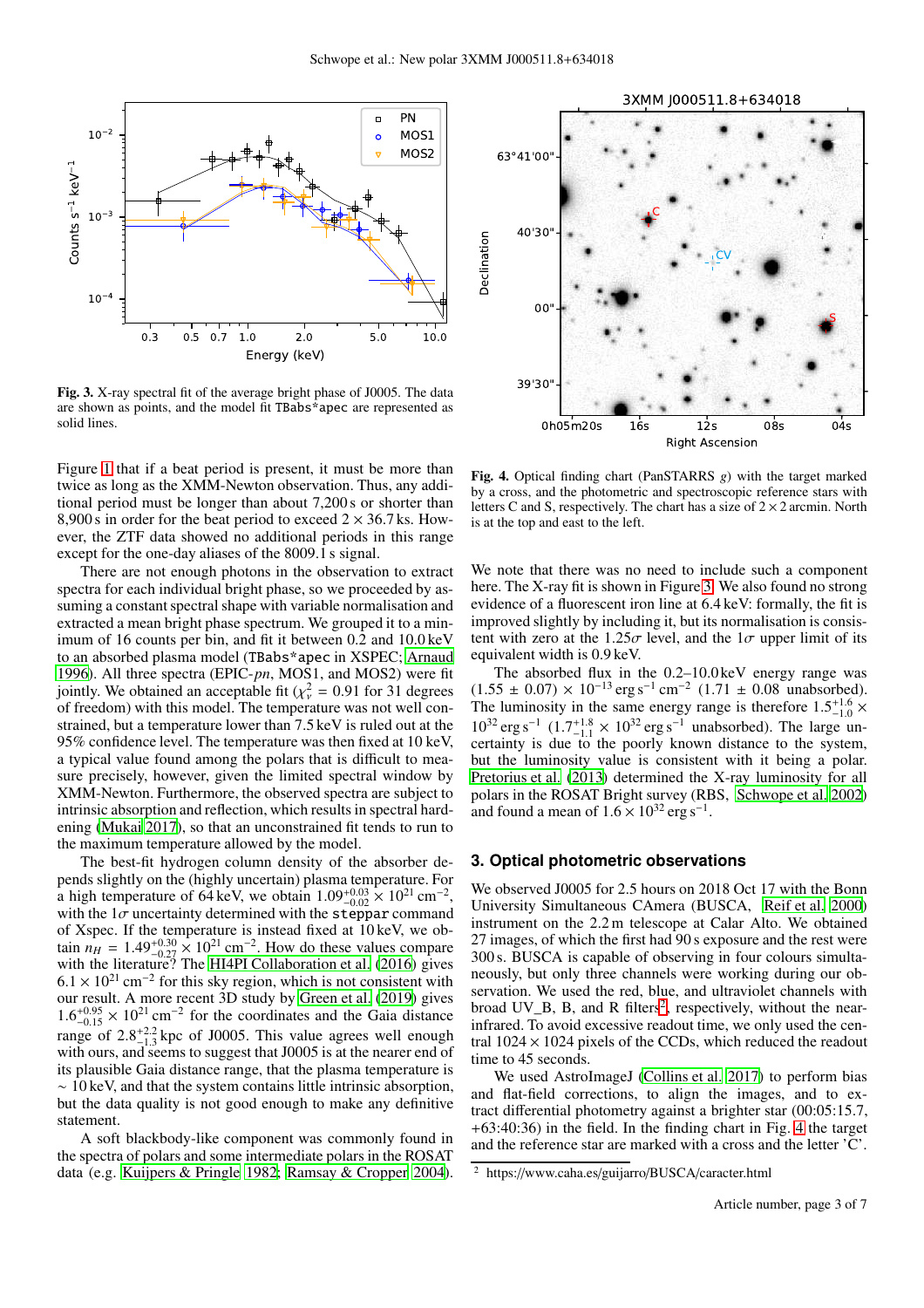

<span id="page-2-1"></span>Fig. 3. X-ray spectral fit of the average bright phase of J0005. The data are shown as points, and the model fit TBabs\*apec are represented as solid lines.

Figure [1](#page-1-0) that if a beat period is present, it must be more than twice as long as the XMM-Newton observation. Thus, any additional period must be longer than about 7,200 s or shorter than 8,900 s in order for the beat period to exceed  $2 \times 36.7$  ks. However, the ZTF data showed no additional periods in this range except for the one-day aliases of the 8009.1 s signal.

There are not enough photons in the observation to extract spectra for each individual bright phase, so we proceeded by assuming a constant spectral shape with variable normalisation and extracted a mean bright phase spectrum. We grouped it to a minimum of 16 counts per bin, and fit it between 0.2 and 10.0 keV to an absorbed plasma model (TBabs\*apec in XSPEC; [Arnaud](#page-6-18) [1996\)](#page-6-18). All three spectra (EPIC-*pn*, MOS1, and MOS2) were fit jointly. We obtained an acceptable fit ( $\chi^2$  = 0.91 for 31 degrees of freedom) with this model. The temperature was not well constrained, but a temperature lower than 7.5 keV is ruled out at the 95% confidence level. The temperature was then fixed at 10 keV, a typical value found among the polars that is difficult to measure precisely, however, given the limited spectral window by XMM-Newton. Furthermore, the observed spectra are subject to intrinsic absorption and reflection, which results in spectral hardening [\(Mukai 2017\)](#page-6-19), so that an unconstrained fit tends to run to the maximum temperature allowed by the model.

The best-fit hydrogen column density of the absorber depends slightly on the (highly uncertain) plasma temperature. For a high temperature of 64 keV, we obtain  $1.09_{-0.02}^{+0.03} \times 10^{21}$  cm<sup>-2</sup>, with the  $1\sigma$  uncertainty determined with the steppar command of Xspec. If the temperature is instead fixed at 10 keV, we obtain  $n_H = 1.49_{-0.27}^{+0.30} \times 10^{21}$  cm<sup>-2</sup>. How do these values compare with the literature? The [HI4PI Collaboration et al. \(2016\)](#page-6-20) gives  $6.1 \times 10^{21}$  cm<sup>-2</sup> for this sky region, which is not consistent with our result. A more recent 3D study by [Green et al. \(2019](#page-6-21)) gives  $1.6^{+0.95}_{-0.15} \times 10^{21}$  cm<sup>-2</sup> for the coordinates and the Gaia distance range of  $2.8^{+2.2}_{-1.3}$  kpc of J0005. This value agrees well enough with ours, and seems to suggest that J0005 is at the nearer end of its plausible Gaia distance range, that the plasma temperature is ∼ 10 keV, and that the system contains little intrinsic absorption, but the data quality is not good enough to make any definitive statement.

A soft blackbody-like component was commonly found in the spectra of polars and some intermediate polars in the ROSAT data (e.g. [Kuijpers & Pringle 1982;](#page-6-22) [Ramsay & Cropper 2004](#page-6-5)).



<span id="page-2-3"></span>Fig. 4. Optical finding chart (PanSTARRS *g*) with the target marked by a cross, and the photometric and spectroscopic reference stars with letters C and S, respectively. The chart has a size of  $2 \times 2$  arcmin. North is at the top and east to the left.

We note that there was no need to include such a component here. The X-ray fit is shown in Figure [3.](#page-2-1) We also found no strong evidence of a fluorescent iron line at 6.4 keV: formally, the fit is improved slightly by including it, but its normalisation is consistent with zero at the 1.25 $\sigma$  level, and the  $1\sigma$  upper limit of its equivalent width is 0.9 keV.

The absorbed flux in the 0.2–10.0 keV energy range was  $(1.55 \pm 0.07) \times 10^{-13}$  erg s<sup>-1</sup> cm<sup>-2</sup>  $(1.71 \pm 0.08$  unabsorbed). The luminosity in the same energy range is therefore  $1.5^{+1.6}_{-1.0}$  ×  $10^{32}$  erg s<sup>-1</sup>  $(1.7^{+1.8}_{-1.1} \times 10^{32}$  erg s<sup>-1</sup> unabsorbed). The large uncertainty is due to the poorly known distance to the system, but the luminosity value is consistent with it being a polar. [Pretorius et al. \(2013](#page-6-7)) determined the X-ray luminosity for all polars in the ROSAT Bright survey (RBS, [Schwope et al. 2002](#page-6-23)) and found a mean of  $1.6 \times 10^{32}$  erg s<sup>-1</sup>.

## <span id="page-2-0"></span>**3. Optical photometric observations**

We observed J0005 for 2.5 hours on 2018 Oct 17 with the Bonn University Simultaneous CAmera (BUSCA, [Reif et al. 2000](#page-6-24)) instrument on the 2.2 m telescope at Calar Alto. We obtained 27 images, of which the first had 90 s exposure and the rest were 300 s. BUSCA is capable of observing in four colours simultaneously, but only three channels were working during our observation. We used the red, blue, and ultraviolet channels with broad UV<sub>-B</sub>, B, and R filters<sup>[2](#page-2-2)</sup>, respectively, without the nearinfrared. To avoid excessive readout time, we only used the central  $1024 \times 1024$  pixels of the CCDs, which reduced the readout time to 45 seconds.

We used AstroImageJ [\(Collins et al. 2017\)](#page-6-25) to perform bias and flat-field corrections, to align the images, and to extract differential photometry against a brighter star (00:05:15.7, +63:40:36) in the field. In the finding chart in Fig. [4](#page-2-3) the target and the reference star are marked with a cross and the letter 'C'.

<span id="page-2-2"></span><sup>2</sup> https://www.caha.es/guijarro/BUSCA/caracter.html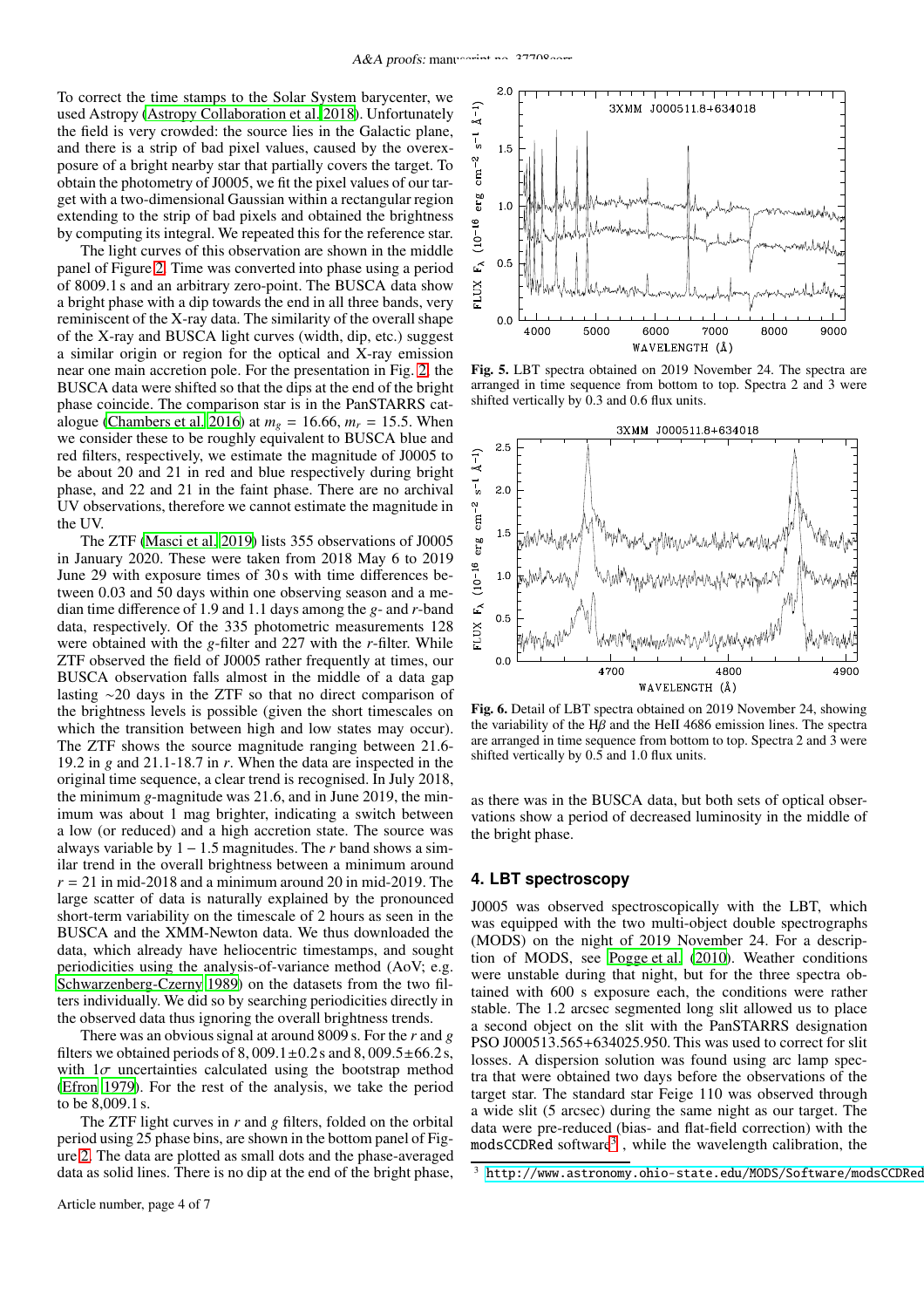To correct the time stamps to the Solar System barycenter, we used Astropy [\(Astropy Collaboration et al. 2018](#page-6-26)). Unfortunately the field is very crowded: the source lies in the Galactic plane, and there is a strip of bad pixel values, caused by the overexposure of a bright nearby star that partially covers the target. To obtain the photometry of J0005, we fit the pixel values of our target with a two-dimensional Gaussian within a rectangular region extending to the strip of bad pixels and obtained the brightness by computing its integral. We repeated this for the reference star.

The light curves of this observation are shown in the middle panel of Figure [2.](#page-1-1) Time was converted into phase using a period of 8009.1 s and an arbitrary zero-point. The BUSCA data show a bright phase with a dip towards the end in all three bands, very reminiscent of the X-ray data. The similarity of the overall shape of the X-ray and BUSCA light curves (width, dip, etc.) suggest a similar origin or region for the optical and X-ray emission near one main accretion pole. For the presentation in Fig. [2,](#page-1-1) the BUSCA data were shifted so that the dips at the end of the bright phase coincide. The comparison star is in the PanSTARRS cat-alogue [\(Chambers et al. 2016\)](#page-6-27) at  $m<sub>g</sub> = 16.66$ ,  $m<sub>r</sub> = 15.5$ . When we consider these to be roughly equivalent to BUSCA blue and red filters, respectively, we estimate the magnitude of J0005 to be about 20 and 21 in red and blue respectively during bright phase, and 22 and 21 in the faint phase. There are no archival UV observations, therefore we cannot estimate the magnitude in the  $UV$ 

The ZTF [\(Masci et al. 2019\)](#page-6-12) lists 355 observations of J0005 in January 2020. These were taken from 2018 May 6 to 2019 June 29 with exposure times of 30 s with time differences between 0.03 and 50 days within one observing season and a median time difference of 1.9 and 1.1 days among the *g*- and *r*-band data, respectively. Of the 335 photometric measurements 128 were obtained with the *g*-filter and 227 with the *r*-filter. While ZTF observed the field of J0005 rather frequently at times, our BUSCA observation falls almost in the middle of a data gap lasting ∼20 days in the ZTF so that no direct comparison of the brightness levels is possible (given the short timescales on which the transition between high and low states may occur). The ZTF shows the source magnitude ranging between 21.6- 19.2 in *g* and 21.1-18.7 in *r*. When the data are inspected in the original time sequence, a clear trend is recognised. In July 2018, the minimum *g*-magnitude was 21.6, and in June 2019, the minimum was about 1 mag brighter, indicating a switch between a low (or reduced) and a high accretion state. The source was always variable by  $1 - 1.5$  magnitudes. The *r* band shows a similar trend in the overall brightness between a minimum around  $r = 21$  in mid-2018 and a minimum around 20 in mid-2019. The large scatter of data is naturally explained by the pronounced short-term variability on the timescale of 2 hours as seen in the BUSCA and the XMM-Newton data. We thus downloaded the data, which already have heliocentric timestamps, and sought periodicities using the analysis-of-variance method (AoV; e.g. [Schwarzenberg-Czerny 1989](#page-6-28)) on the datasets from the two filters individually. We did so by searching periodicities directly in the observed data thus ignoring the overall brightness trends.

There was an obvious signal at around 8009 s. For the *r* and *g* filters we obtained periods of  $8,009.1\pm0.2$  s and  $8,009.5\pm66.2$  s, with  $1\sigma$  uncertainties calculated using the bootstrap method [\(Efron 1979\)](#page-6-29). For the rest of the analysis, we take the period to be 8,009.1 s.

The ZTF light curves in *r* and *g* filters, folded on the orbital period using 25 phase bins, are shown in the bottom panel of Figure [2.](#page-1-1) The data are plotted as small dots and the phase-averaged data as solid lines. There is no dip at the end of the bright phase,



<span id="page-3-1"></span>Fig. 5. LBT spectra obtained on 2019 November 24. The spectra are arranged in time sequence from bottom to top. Spectra 2 and 3 were shifted vertically by 0.3 and 0.6 flux units.



<span id="page-3-2"></span>Fig. 6. Detail of LBT spectra obtained on 2019 November 24, showing the variability of the  $H\hat{B}$  and the HeII 4686 emission lines. The spectra are arranged in time sequence from bottom to top. Spectra 2 and 3 were shifted vertically by 0.5 and 1.0 flux units.

as there was in the BUSCA data, but both sets of optical observations show a period of decreased luminosity in the middle of the bright phase.

## **4. LBT spectroscopy**

J0005 was observed spectroscopically with the LBT, which was equipped with the two multi-object double spectrographs (MODS) on the night of 2019 November 24. For a description of MODS, see [Pogge et al.](#page-6-30) [\(2010\)](#page-6-30). Weather conditions were unstable during that night, but for the three spectra obtained with 600 s exposure each, the conditions were rather stable. The 1.2 arcsec segmented long slit allowed us to place a second object on the slit with the PanSTARRS designation PSO J000513.565+634025.950. This was used to correct for slit losses. A dispersion solution was found using arc lamp spectra that were obtained two days before the observations of the target star. The standard star Feige 110 was observed through a wide slit (5 arcsec) during the same night as our target. The data were pre-reduced (bias- and flat-field correction) with the  $\text{modsCCDRed software}^3$  $\text{modsCCDRed software}^3$ , while the wavelength calibration, the

<span id="page-3-0"></span>http://www.astronomy.ohio-state.edu/MODS/Software/modsCCDRed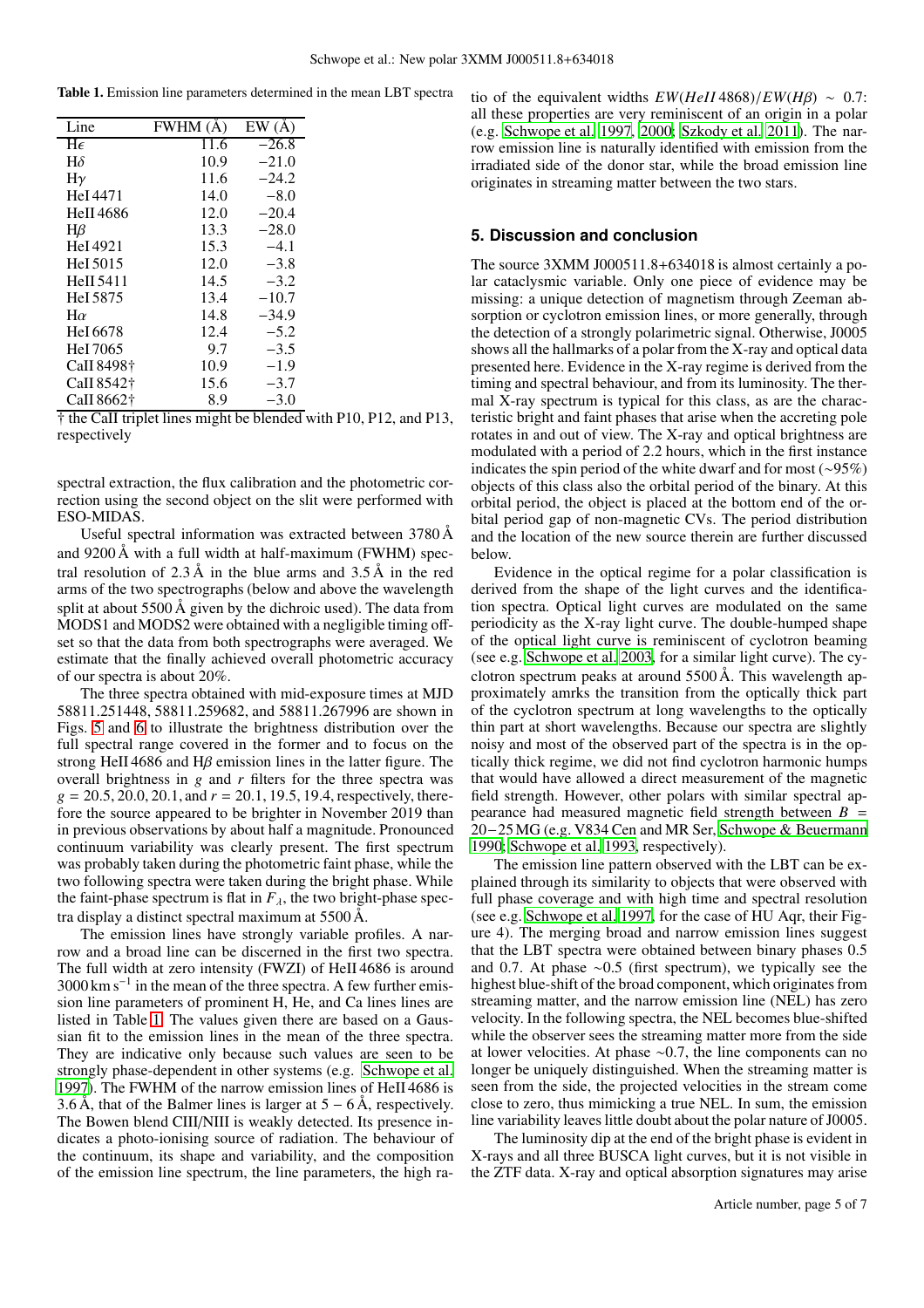<span id="page-4-0"></span>

|  | Table 1. Emission line parameters determined in the mean LBT spectra |  |  |  |  |  |
|--|----------------------------------------------------------------------|--|--|--|--|--|
|--|----------------------------------------------------------------------|--|--|--|--|--|

| Line             | FWHM (Å) | EW(A)   |
|------------------|----------|---------|
| He               | 11.6     | $-26.8$ |
| $H\delta$        | 10.9     | $-21.0$ |
| $H\gamma$        | 11.6     | $-24.2$ |
| HeI 4471         | 14.0     | $-8.0$  |
| <b>HeII</b> 4686 | 12.0     | $-20.4$ |
| $H\beta$         | 13.3     | $-28.0$ |
| HeI 4921         | 15.3     | $-4.1$  |
| HeI 5015         | 12.0     | $-3.8$  |
| <b>HeII</b> 5411 | 14.5     | $-3.2$  |
| Hel 5875         | 13.4     | $-10.7$ |
| $H\alpha$        | 14.8     | $-34.9$ |
| HeI 6678         | 12.4     | $-5.2$  |
| HeI 7065         | 9.7      | $-3.5$  |
| CaII 8498†       | 10.9     | $-1.9$  |
| CaII 8542†       | 15.6     | $-3.7$  |
| CaII 8662†       | 8.9      | $-3.0$  |
|                  | . .      |         |

† the CaII triplet lines might be blended with P10, P12, and P13, respectively

spectral extraction, the flux calibration and the photometric correction using the second object on the slit were performed with ESO-MIDAS.

Useful spectral information was extracted between 3780 Å and 9200 Å with a full width at half-maximum (FWHM) spectral resolution of  $2.3 \text{ Å}$  in the blue arms and  $3.5 \text{ Å}$  in the red arms of the two spectrographs (below and above the wavelength split at about  $5500 \text{ Å}$  given by the dichroic used). The data from MODS1 and MODS2 were obtained with a negligible timing offset so that the data from both spectrographs were averaged. We estimate that the finally achieved overall photometric accuracy of our spectra is about 20%.

The three spectra obtained with mid-exposure times at MJD 58811.251448, 58811.259682, and 58811.267996 are shown in Figs. [5](#page-3-1) and [6](#page-3-2) to illustrate the brightness distribution over the full spectral range covered in the former and to focus on the strong HeII 4686 and H $\beta$  emission lines in the latter figure. The overall brightness in *g* and *r* filters for the three spectra was  $g = 20.5, 20.0, 20.1,$  and  $r = 20.1, 19.5, 19.4$ , respectively, therefore the source appeared to be brighter in November 2019 than in previous observations by about half a magnitude. Pronounced continuum variability was clearly present. The first spectrum was probably taken during the photometric faint phase, while the two following spectra were taken during the bright phase. While the faint-phase spectrum is flat in  $F_{\lambda}$ , the two bright-phase spectra display a distinct spectral maximum at 5500 Å.

The emission lines have strongly variable profiles. A narrow and a broad line can be discerned in the first two spectra. The full width at zero intensity (FWZI) of HeII 4686 is around  $3000 \text{ km s}^{-1}$  in the mean of the three spectra. A few further emission line parameters of prominent H, He, and Ca lines lines are listed in Table [1.](#page-4-0) The values given there are based on a Gaussian fit to the emission lines in the mean of the three spectra. They are indicative only because such values are seen to be strongly phase-dependent in other systems (e.g. [Schwope et](#page-6-31) al. [1997\)](#page-6-31). The FWHM of the narrow emission lines of HeII 4686 is 3.6 Å, that of the Balmer lines is larger at  $5 - 6$  Å, respectively. The Bowen blend CIII/NIII is weakly detected. Its presence indicates a photo-ionising source of radiation. The behaviour of the continuum, its shape and variability, and the composition of the emission line spectrum, the line parameters, the high ratio of the equivalent widths  $EW(HeII 4868)/EW(H\beta) \sim 0.7$ : all these properties are very reminiscent of an origin in a polar (e.g. [Schwope et al. 1997,](#page-6-31) [2000;](#page-6-32) [Szkody et al. 2011](#page-6-33)). The narrow emission line is naturally identified with emission from the irradiated side of the donor star, while the broad emission line originates in streaming matter between the two stars.

## **5. Discussion and conclusion**

The source 3XMM J000511.8+634018 is almost certainly a polar cataclysmic variable. Only one piece of evidence may be missing: a unique detection of magnetism through Zeeman absorption or cyclotron emission lines, or more generally, through the detection of a strongly polarimetric signal. Otherwise, J0005 shows all the hallmarks of a polar from the X-ray and optical data presented here. Evidence in the X-ray regime is derived from the timing and spectral behaviour, and from its luminosity. The thermal X-ray spectrum is typical for this class, as are the characteristic bright and faint phases that arise when the accreting pole rotates in and out of view. The X-ray and optical brightness are modulated with a period of 2.2 hours, which in the first instance indicates the spin period of the white dwarf and for most (∼95%) objects of this class also the orbital period of the binary. At this orbital period, the object is placed at the bottom end of the orbital period gap of non-magnetic CVs. The period distribution and the location of the new source therein are further discussed below.

Evidence in the optical regime for a polar classification is derived from the shape of the light curves and the identification spectra. Optical light curves are modulated on the same periodicity as the X-ray light curve. The double-humped shape of the optical light curve is reminiscent of cyclotron beaming (see e.g. [Schwope et al. 2003,](#page-6-34) for a similar light curve). The cyclotron spectrum peaks at around  $5500 \text{ Å}$ . This wavelength approximately amrks the transition from the optically thick part of the cyclotron spectrum at long wavelengths to the optically thin part at short wavelengths. Because our spectra are slightly noisy and most of the observed part of the spectra is in the optically thick regime, we did not find cyclotron harmonic humps that would have allowed a direct measurement of the magnetic field strength. However, other polars with similar spectral appearance had measured magnetic field strength between  $B =$ 20−25MG (e.g. V834 Cen and MR Ser, [Schwope & Beuermann](#page-6-35) [1990;](#page-6-35) [Schwope et al. 1993](#page-6-36), respectively).

The emission line pattern observed with the LBT can be explained through its similarity to objects that were observed with full phase coverage and with high time and spectral resolution (see e.g. [Schwope et al. 1997,](#page-6-31) for the case of HU Aqr, their Figure 4). The merging broad and narrow emission lines suggest that the LBT spectra were obtained between binary phases 0.5 and 0.7. At phase ∼0.5 (first spectrum), we typically see the highest blue-shift of the broad component, which originates from streaming matter, and the narrow emission line (NEL) has zero velocity. In the following spectra, the NEL becomes blue-shifted while the observer sees the streaming matter more from the side at lower velocities. At phase ∼0.7, the line components can no longer be uniquely distinguished. When the streaming matter is seen from the side, the projected velocities in the stream come close to zero, thus mimicking a true NEL. In sum, the emission line variability leaves little doubt about the polar nature of J0005.

The luminosity dip at the end of the bright phase is evident in X-rays and all three BUSCA light curves, but it is not visible in the ZTF data. X-ray and optical absorption signatures may arise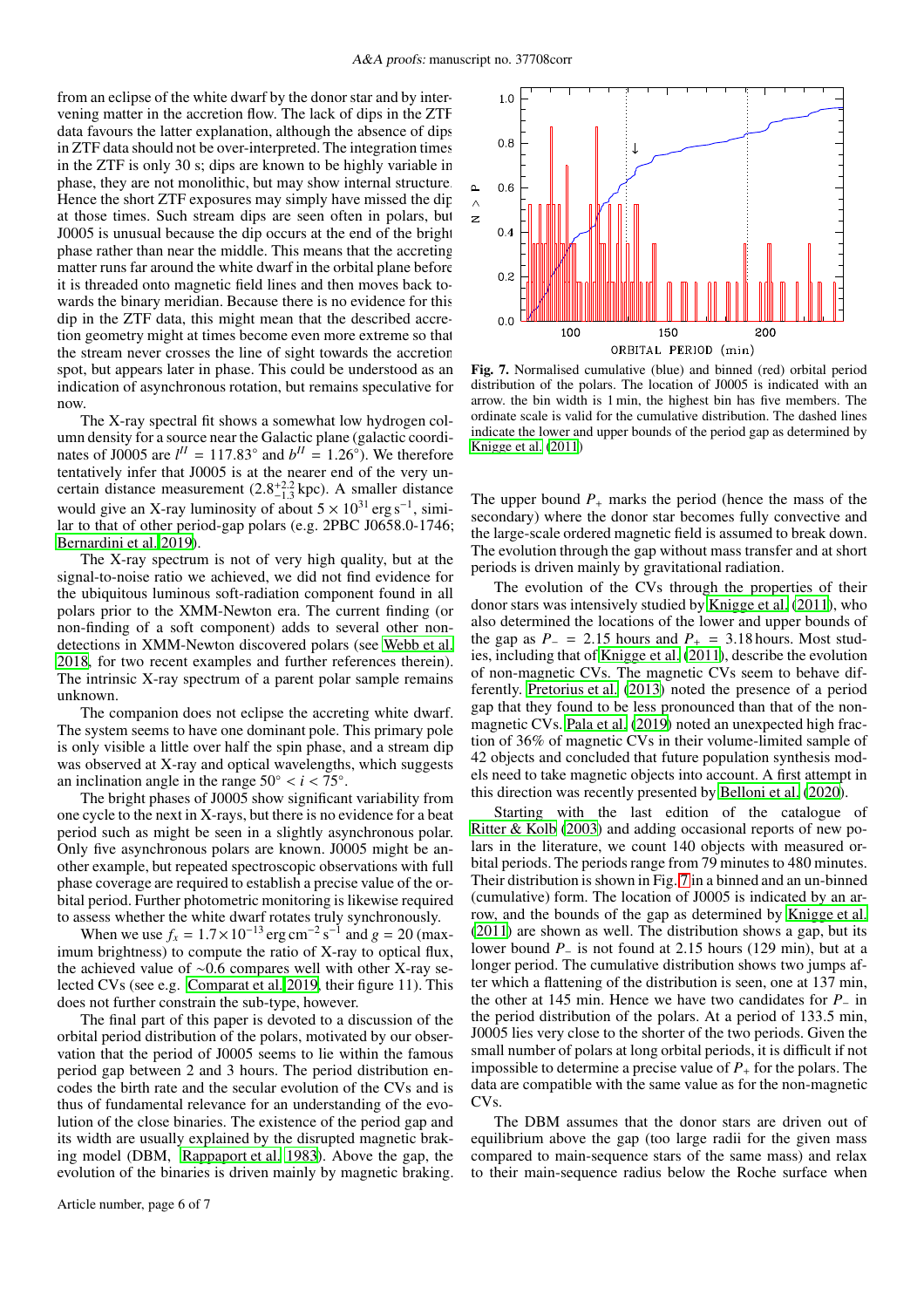from an eclipse of the white dwarf by the donor star and by intervening matter in the accretion flow. The lack of dips in the ZTF data favours the latter explanation, although the absence of dips in ZTF data should not be over-interpreted. The integration times in the ZTF is only 30 s; dips are known to be highly variable in phase, they are not monolithic, but may show internal structure. Hence the short ZTF exposures may simply have missed the dip at those times. Such stream dips are seen often in polars, but J0005 is unusual because the dip occurs at the end of the bright phase rather than near the middle. This means that the accreting matter runs far around the white dwarf in the orbital plane before it is threaded onto magnetic field lines and then moves back towards the binary meridian. Because there is no evidence for this dip in the ZTF data, this might mean that the described accretion geometry might at times become even more extreme so that the stream never crosses the line of sight towards the accretion spot, but appears later in phase. This could be understood as an indication of asynchronous rotation, but remains speculative for now.

The X-ray spectral fit shows a somewhat low hydrogen column density for a source near the Galactic plane (galactic coordinates of J0005 are  $l^{\text{II}} = 117.83^{\circ}$  and  $b^{\text{II}} = 1.26^{\circ}$ ). We therefore tentatively infer that J0005 is at the nearer end of the very uncertain distance measurement  $(2.8^{+2.2}_{-1.3}$  kpc). A smaller distance would give an X-ray luminosity of about  $5 \times 10^{31}$  erg s<sup>-1</sup>, similar to that of other period-gap polars (e.g. 2PBC J0658.0-1746; [Bernardini et al. 2019\)](#page-6-37).

The X-ray spectrum is not of very high quality, but at the signal-to-noise ratio we achieved, we did not find evidence for the ubiquitous luminous soft-radiation component found in all polars prior to the XMM-Newton era. The current finding (or non-finding of a soft component) adds to several other nondetections in XMM-Newton discovered polars (see [Webb et al.](#page-6-3) [2018,](#page-6-3) for two recent examples and further references therein). The intrinsic X-ray spectrum of a parent polar sample remains unknown.

The companion does not eclipse the accreting white dwarf. The system seems to have one dominant pole. This primary pole is only visible a little over half the spin phase, and a stream dip was observed at X-ray and optical wavelengths, which suggests an inclination angle in the range  $50^{\circ} < i < 75^{\circ}$ .

The bright phases of J0005 show significant variability from one cycle to the next in X-rays, but there is no evidence for a beat period such as might be seen in a slightly asynchronous polar. Only five asynchronous polars are known. J0005 might be another example, but repeated spectroscopic observations with full phase coverage are required to establish a precise value of the orbital period. Further photometric monitoring is likewise required to assess whether the white dwarf rotates truly synchronously.

When we use  $f_x = 1.7 \times 10^{-13}$  erg cm<sup>-2</sup> s<sup>-1</sup> and  $g = 20$  (maximum brightness) to compute the ratio of X-ray to optical flux, the achieved value of ∼0.6 compares well with other X-ray selected CVs (see e.g. [Comparat et al. 2019,](#page-6-38) their figure 11). This does not further constrain the sub-type, however.

The final part of this paper is devoted to a discussion of the orbital period distribution of the polars, motivated by our observation that the period of J0005 seems to lie within the famous period gap between 2 and 3 hours. The period distribution encodes the birth rate and the secular evolution of the CVs and is thus of fundamental relevance for an understanding of the evolution of the close binaries. The existence of the period gap and its width are usually explained by the disrupted magnetic braking model (DBM, [Rappaport et al. 1983](#page-6-39)). Above the gap, the evolution of the binaries is driven mainly by magnetic braking.



<span id="page-5-0"></span>Fig. 7. Normalised cumulative (blue) and binned (red) orbital period distribution of the polars. The location of J0005 is indicated with an arrow. the bin width is 1 min, the highest bin has five members. The ordinate scale is valid for the cumulative distribution. The dashed lines indicate the lower and upper bounds of the period gap as determined by [Knigge et al.](#page-6-6) [\(2011](#page-6-6))

The upper bound  $P_+$  marks the period (hence the mass of the secondary) where the donor star becomes fully convective and the large-scale ordered magnetic field is assumed to break down. The evolution through the gap without mass transfer and at short periods is driven mainly by gravitational radiation.

The evolution of the CVs through the properties of their donor stars was intensively studied by [Knigge et al. \(2011](#page-6-6)), who also determined the locations of the lower and upper bounds of the gap as  $P_$  = 2.15 hours and  $P_$  = 3.18 hours. Most studies, including that of [Knigge et al.](#page-6-6) [\(2011\)](#page-6-6), describe the evolution of non-magnetic CVs. The magnetic CVs seem to behave differently. [Pretorius et al. \(2013\)](#page-6-7) noted the presence of a period gap that they found to be less pronounced than that of the nonmagnetic CVs. [Pala et al.](#page-6-8) [\(2019\)](#page-6-8) noted an unexpected high fraction of 36% of magnetic CVs in their volume-limited sample of 42 objects and concluded that future population synthesis models need to take magnetic objects into account. A first attempt in this direction was recently presented by [Belloni et al.](#page-6-40) [\(2020\)](#page-6-40).

Starting with the last edition of the catalogue of [Ritter & Kolb](#page-6-9) [\(2003\)](#page-6-9) and adding occasional reports of new polars in the literature, we count 140 objects with measured orbital periods. The periods range from 79 minutes to 480 minutes. Their distribution is shown in Fig. [7](#page-5-0) in a binned and an un-binned (cumulative) form. The location of J0005 is indicated by an arrow, and the bounds of the gap as determined by [Knigge et al.](#page-6-6) [\(2011\)](#page-6-6) are shown as well. The distribution shows a gap, but its lower bound *P*<sup>−</sup> is not found at 2.15 hours (129 min), but at a longer period. The cumulative distribution shows two jumps after which a flattening of the distribution is seen, one at 137 min, the other at 145 min. Hence we have two candidates for *P*<sup>−</sup> in the period distribution of the polars. At a period of 133.5 min, J0005 lies very close to the shorter of the two periods. Given the small number of polars at long orbital periods, it is difficult if not impossible to determine a precise value of  $P_+$  for the polars. The data are compatible with the same value as for the non-magnetic CVs.

The DBM assumes that the donor stars are driven out of equilibrium above the gap (too large radii for the given mass compared to main-sequence stars of the same mass) and relax to their main-sequence radius below the Roche surface when